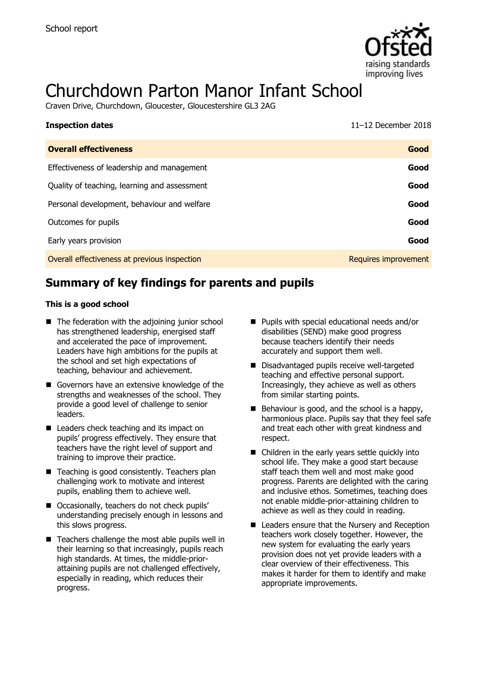

# Churchdown Parton Manor Infant School

Craven Drive, Churchdown, Gloucester, Gloucestershire GL3 2AG

| <b>Inspection dates</b>                      | 11-12 December $2018$ |
|----------------------------------------------|-----------------------|
| <b>Overall effectiveness</b>                 | Good                  |
| Effectiveness of leadership and management   | Good                  |
| Quality of teaching, learning and assessment | Good                  |
| Personal development, behaviour and welfare  | Good                  |
| Outcomes for pupils                          | Good                  |
| Early years provision                        | Good                  |
| Overall effectiveness at previous inspection | Requires improvement  |

# **Summary of key findings for parents and pupils**

#### **This is a good school**

- The federation with the adjoining junior school has strengthened leadership, energised staff and accelerated the pace of improvement. Leaders have high ambitions for the pupils at the school and set high expectations of teaching, behaviour and achievement.
- Governors have an extensive knowledge of the strengths and weaknesses of the school. They provide a good level of challenge to senior leaders.
- Leaders check teaching and its impact on pupils' progress effectively. They ensure that teachers have the right level of support and training to improve their practice.
- Teaching is good consistently. Teachers plan challenging work to motivate and interest pupils, enabling them to achieve well.
- Occasionally, teachers do not check pupils' understanding precisely enough in lessons and this slows progress.
- Teachers challenge the most able pupils well in their learning so that increasingly, pupils reach high standards. At times, the middle-priorattaining pupils are not challenged effectively, especially in reading, which reduces their progress.
- Pupils with special educational needs and/or disabilities (SEND) make good progress because teachers identify their needs accurately and support them well.
- Disadvantaged pupils receive well-targeted teaching and effective personal support. Increasingly, they achieve as well as others from similar starting points.
- $\blacksquare$  Behaviour is good, and the school is a happy, harmonious place. Pupils say that they feel safe and treat each other with great kindness and respect.
- Children in the early years settle quickly into school life. They make a good start because staff teach them well and most make good progress. Parents are delighted with the caring and inclusive ethos. Sometimes, teaching does not enable middle-prior-attaining children to achieve as well as they could in reading.
- Leaders ensure that the Nursery and Reception teachers work closely together. However, the new system for evaluating the early years provision does not yet provide leaders with a clear overview of their effectiveness. This makes it harder for them to identify and make appropriate improvements.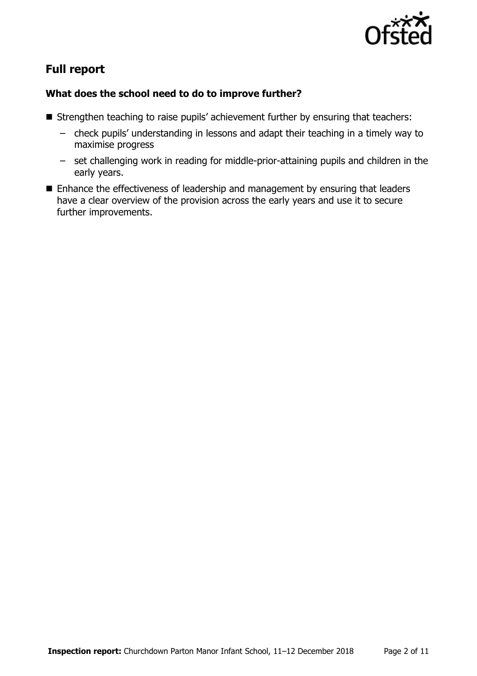

# **Full report**

### **What does the school need to do to improve further?**

- Strengthen teaching to raise pupils' achievement further by ensuring that teachers:
	- check pupils' understanding in lessons and adapt their teaching in a timely way to maximise progress
	- set challenging work in reading for middle-prior-attaining pupils and children in the early years.
- Enhance the effectiveness of leadership and management by ensuring that leaders have a clear overview of the provision across the early years and use it to secure further improvements.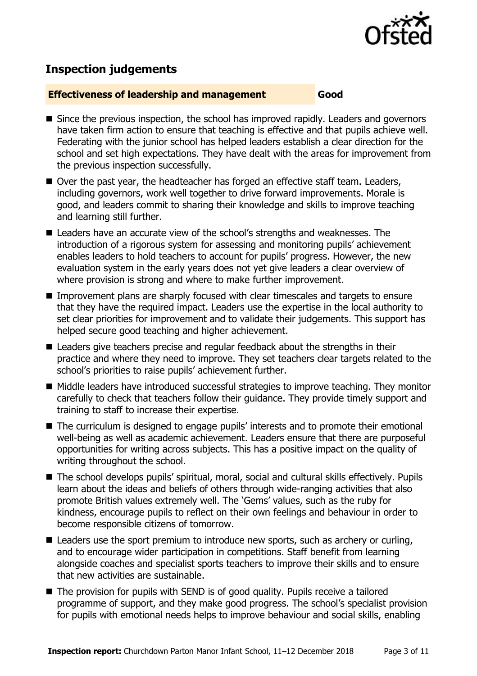

# **Inspection judgements**

#### **Effectiveness of leadership and management Good**

- Since the previous inspection, the school has improved rapidly. Leaders and governors have taken firm action to ensure that teaching is effective and that pupils achieve well. Federating with the junior school has helped leaders establish a clear direction for the school and set high expectations. They have dealt with the areas for improvement from the previous inspection successfully.
- Over the past year, the headteacher has forged an effective staff team. Leaders, including governors, work well together to drive forward improvements. Morale is good, and leaders commit to sharing their knowledge and skills to improve teaching and learning still further.
- Leaders have an accurate view of the school's strengths and weaknesses. The introduction of a rigorous system for assessing and monitoring pupils' achievement enables leaders to hold teachers to account for pupils' progress. However, the new evaluation system in the early years does not yet give leaders a clear overview of where provision is strong and where to make further improvement.
- Improvement plans are sharply focused with clear timescales and targets to ensure that they have the required impact. Leaders use the expertise in the local authority to set clear priorities for improvement and to validate their judgements. This support has helped secure good teaching and higher achievement.
- Leaders give teachers precise and regular feedback about the strengths in their practice and where they need to improve. They set teachers clear targets related to the school's priorities to raise pupils' achievement further.
- Middle leaders have introduced successful strategies to improve teaching. They monitor carefully to check that teachers follow their guidance. They provide timely support and training to staff to increase their expertise.
- The curriculum is designed to engage pupils' interests and to promote their emotional well-being as well as academic achievement. Leaders ensure that there are purposeful opportunities for writing across subjects. This has a positive impact on the quality of writing throughout the school.
- The school develops pupils' spiritual, moral, social and cultural skills effectively. Pupils learn about the ideas and beliefs of others through wide-ranging activities that also promote British values extremely well. The 'Gems' values, such as the ruby for kindness, encourage pupils to reflect on their own feelings and behaviour in order to become responsible citizens of tomorrow.
- Leaders use the sport premium to introduce new sports, such as archery or curling, and to encourage wider participation in competitions. Staff benefit from learning alongside coaches and specialist sports teachers to improve their skills and to ensure that new activities are sustainable.
- The provision for pupils with SEND is of good quality. Pupils receive a tailored programme of support, and they make good progress. The school's specialist provision for pupils with emotional needs helps to improve behaviour and social skills, enabling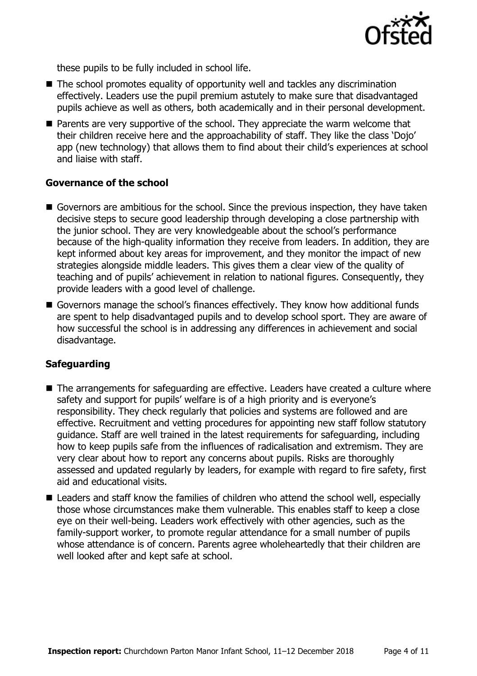

these pupils to be fully included in school life.

- The school promotes equality of opportunity well and tackles any discrimination effectively. Leaders use the pupil premium astutely to make sure that disadvantaged pupils achieve as well as others, both academically and in their personal development.
- **Parents are very supportive of the school. They appreciate the warm welcome that** their children receive here and the approachability of staff. They like the class 'Dojo' app (new technology) that allows them to find about their child's experiences at school and liaise with staff.

#### **Governance of the school**

- Governors are ambitious for the school. Since the previous inspection, they have taken decisive steps to secure good leadership through developing a close partnership with the junior school. They are very knowledgeable about the school's performance because of the high-quality information they receive from leaders. In addition, they are kept informed about key areas for improvement, and they monitor the impact of new strategies alongside middle leaders. This gives them a clear view of the quality of teaching and of pupils' achievement in relation to national figures. Consequently, they provide leaders with a good level of challenge.
- Governors manage the school's finances effectively. They know how additional funds are spent to help disadvantaged pupils and to develop school sport. They are aware of how successful the school is in addressing any differences in achievement and social disadvantage.

### **Safeguarding**

- The arrangements for safeguarding are effective. Leaders have created a culture where safety and support for pupils' welfare is of a high priority and is everyone's responsibility. They check regularly that policies and systems are followed and are effective. Recruitment and vetting procedures for appointing new staff follow statutory guidance. Staff are well trained in the latest requirements for safeguarding, including how to keep pupils safe from the influences of radicalisation and extremism. They are very clear about how to report any concerns about pupils. Risks are thoroughly assessed and updated regularly by leaders, for example with regard to fire safety, first aid and educational visits.
- Leaders and staff know the families of children who attend the school well, especially those whose circumstances make them vulnerable. This enables staff to keep a close eye on their well-being. Leaders work effectively with other agencies, such as the family-support worker, to promote regular attendance for a small number of pupils whose attendance is of concern. Parents agree wholeheartedly that their children are well looked after and kept safe at school.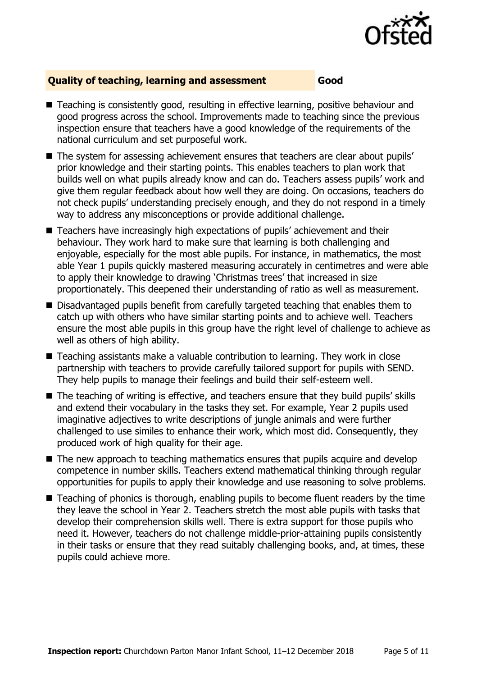

### **Quality of teaching, learning and assessment Good**

- Teaching is consistently good, resulting in effective learning, positive behaviour and good progress across the school. Improvements made to teaching since the previous inspection ensure that teachers have a good knowledge of the requirements of the national curriculum and set purposeful work.
- The system for assessing achievement ensures that teachers are clear about pupils' prior knowledge and their starting points. This enables teachers to plan work that builds well on what pupils already know and can do. Teachers assess pupils' work and give them regular feedback about how well they are doing. On occasions, teachers do not check pupils' understanding precisely enough, and they do not respond in a timely way to address any misconceptions or provide additional challenge.
- Teachers have increasingly high expectations of pupils' achievement and their behaviour. They work hard to make sure that learning is both challenging and enjoyable, especially for the most able pupils. For instance, in mathematics, the most able Year 1 pupils quickly mastered measuring accurately in centimetres and were able to apply their knowledge to drawing 'Christmas trees' that increased in size proportionately. This deepened their understanding of ratio as well as measurement.
- Disadvantaged pupils benefit from carefully targeted teaching that enables them to catch up with others who have similar starting points and to achieve well. Teachers ensure the most able pupils in this group have the right level of challenge to achieve as well as others of high ability.
- Teaching assistants make a valuable contribution to learning. They work in close partnership with teachers to provide carefully tailored support for pupils with SEND. They help pupils to manage their feelings and build their self-esteem well.
- The teaching of writing is effective, and teachers ensure that they build pupils' skills and extend their vocabulary in the tasks they set. For example, Year 2 pupils used imaginative adjectives to write descriptions of jungle animals and were further challenged to use similes to enhance their work, which most did. Consequently, they produced work of high quality for their age.
- $\blacksquare$  The new approach to teaching mathematics ensures that pupils acquire and develop competence in number skills. Teachers extend mathematical thinking through regular opportunities for pupils to apply their knowledge and use reasoning to solve problems.
- Teaching of phonics is thorough, enabling pupils to become fluent readers by the time they leave the school in Year 2. Teachers stretch the most able pupils with tasks that develop their comprehension skills well. There is extra support for those pupils who need it. However, teachers do not challenge middle-prior-attaining pupils consistently in their tasks or ensure that they read suitably challenging books, and, at times, these pupils could achieve more.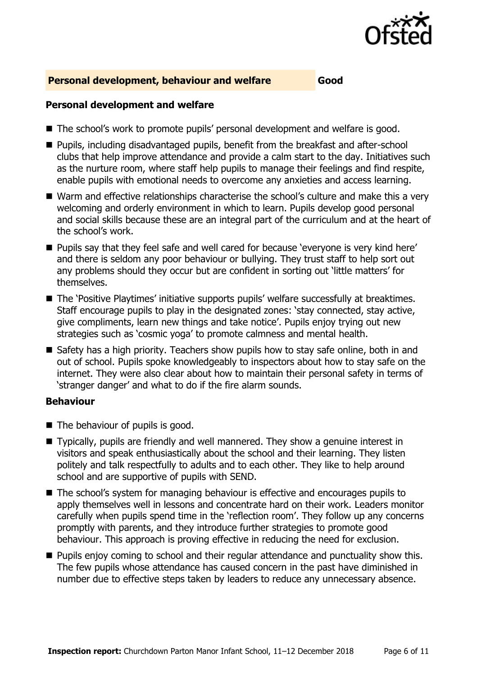

#### **Personal development, behaviour and welfare Good**

#### **Personal development and welfare**

- The school's work to promote pupils' personal development and welfare is good.
- **Pupils, including disadvantaged pupils, benefit from the breakfast and after-school** clubs that help improve attendance and provide a calm start to the day. Initiatives such as the nurture room, where staff help pupils to manage their feelings and find respite, enable pupils with emotional needs to overcome any anxieties and access learning.
- Warm and effective relationships characterise the school's culture and make this a very welcoming and orderly environment in which to learn. Pupils develop good personal and social skills because these are an integral part of the curriculum and at the heart of the school's work.
- **Pupils say that they feel safe and well cared for because 'everyone is very kind here'** and there is seldom any poor behaviour or bullying. They trust staff to help sort out any problems should they occur but are confident in sorting out 'little matters' for themselves.
- The 'Positive Playtimes' initiative supports pupils' welfare successfully at breaktimes. Staff encourage pupils to play in the designated zones: 'stay connected, stay active, give compliments, learn new things and take notice'. Pupils enjoy trying out new strategies such as 'cosmic yoga' to promote calmness and mental health.
- Safety has a high priority. Teachers show pupils how to stay safe online, both in and out of school. Pupils spoke knowledgeably to inspectors about how to stay safe on the internet. They were also clear about how to maintain their personal safety in terms of 'stranger danger' and what to do if the fire alarm sounds.

### **Behaviour**

- $\blacksquare$  The behaviour of pupils is good.
- Typically, pupils are friendly and well mannered. They show a genuine interest in visitors and speak enthusiastically about the school and their learning. They listen politely and talk respectfully to adults and to each other. They like to help around school and are supportive of pupils with SEND.
- The school's system for managing behaviour is effective and encourages pupils to apply themselves well in lessons and concentrate hard on their work. Leaders monitor carefully when pupils spend time in the 'reflection room'. They follow up any concerns promptly with parents, and they introduce further strategies to promote good behaviour. This approach is proving effective in reducing the need for exclusion.
- **Pupils enjoy coming to school and their regular attendance and punctuality show this.** The few pupils whose attendance has caused concern in the past have diminished in number due to effective steps taken by leaders to reduce any unnecessary absence.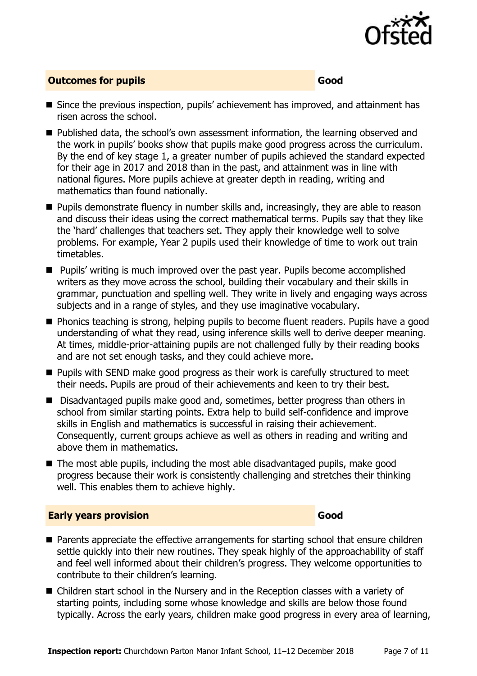

#### **Outcomes for pupils Good Good**

- Since the previous inspection, pupils' achievement has improved, and attainment has risen across the school.
- Published data, the school's own assessment information, the learning observed and the work in pupils' books show that pupils make good progress across the curriculum. By the end of key stage 1, a greater number of pupils achieved the standard expected for their age in 2017 and 2018 than in the past, and attainment was in line with national figures. More pupils achieve at greater depth in reading, writing and mathematics than found nationally.
- **Pupils demonstrate fluency in number skills and, increasingly, they are able to reason** and discuss their ideas using the correct mathematical terms. Pupils say that they like the 'hard' challenges that teachers set. They apply their knowledge well to solve problems. For example, Year 2 pupils used their knowledge of time to work out train timetables.
- **Pupils'** writing is much improved over the past year. Pupils become accomplished writers as they move across the school, building their vocabulary and their skills in grammar, punctuation and spelling well. They write in lively and engaging ways across subjects and in a range of styles, and they use imaginative vocabulary.
- **Phonics teaching is strong, helping pupils to become fluent readers. Pupils have a good** understanding of what they read, using inference skills well to derive deeper meaning. At times, middle-prior-attaining pupils are not challenged fully by their reading books and are not set enough tasks, and they could achieve more.
- **Pupils with SEND make good progress as their work is carefully structured to meet** their needs. Pupils are proud of their achievements and keen to try their best.
- Disadvantaged pupils make good and, sometimes, better progress than others in school from similar starting points. Extra help to build self-confidence and improve skills in English and mathematics is successful in raising their achievement. Consequently, current groups achieve as well as others in reading and writing and above them in mathematics.
- The most able pupils, including the most able disadvantaged pupils, make good progress because their work is consistently challenging and stretches their thinking well. This enables them to achieve highly.

#### **Early years provision Good**

- **Parents appreciate the effective arrangements for starting school that ensure children** settle quickly into their new routines. They speak highly of the approachability of staff and feel well informed about their children's progress. They welcome opportunities to contribute to their children's learning.
- Children start school in the Nursery and in the Reception classes with a variety of starting points, including some whose knowledge and skills are below those found typically. Across the early years, children make good progress in every area of learning,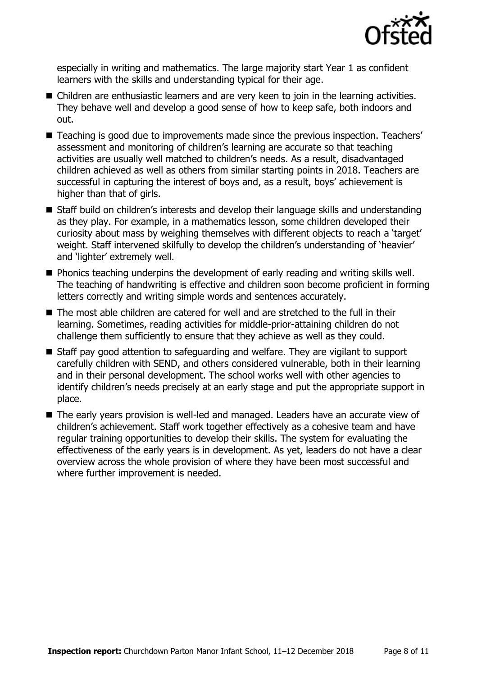

especially in writing and mathematics. The large majority start Year 1 as confident learners with the skills and understanding typical for their age.

- Children are enthusiastic learners and are very keen to join in the learning activities. They behave well and develop a good sense of how to keep safe, both indoors and out.
- Teaching is good due to improvements made since the previous inspection. Teachers' assessment and monitoring of children's learning are accurate so that teaching activities are usually well matched to children's needs. As a result, disadvantaged children achieved as well as others from similar starting points in 2018. Teachers are successful in capturing the interest of boys and, as a result, boys' achievement is higher than that of girls.
- Staff build on children's interests and develop their language skills and understanding as they play. For example, in a mathematics lesson, some children developed their curiosity about mass by weighing themselves with different objects to reach a 'target' weight. Staff intervened skilfully to develop the children's understanding of 'heavier' and 'lighter' extremely well.
- **Phonics teaching underpins the development of early reading and writing skills well.** The teaching of handwriting is effective and children soon become proficient in forming letters correctly and writing simple words and sentences accurately.
- The most able children are catered for well and are stretched to the full in their learning. Sometimes, reading activities for middle-prior-attaining children do not challenge them sufficiently to ensure that they achieve as well as they could.
- Staff pay good attention to safeguarding and welfare. They are vigilant to support carefully children with SEND, and others considered vulnerable, both in their learning and in their personal development. The school works well with other agencies to identify children's needs precisely at an early stage and put the appropriate support in place.
- The early years provision is well-led and managed. Leaders have an accurate view of children's achievement. Staff work together effectively as a cohesive team and have regular training opportunities to develop their skills. The system for evaluating the effectiveness of the early years is in development. As yet, leaders do not have a clear overview across the whole provision of where they have been most successful and where further improvement is needed.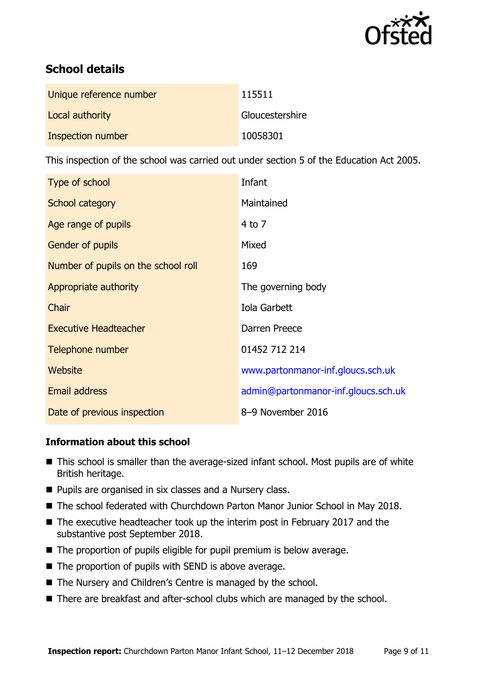

# **School details**

| Unique reference number | 115511          |
|-------------------------|-----------------|
| Local authority         | Gloucestershire |
| Inspection number       | 10058301        |

This inspection of the school was carried out under section 5 of the Education Act 2005.

| Type of school                      | Infant                              |
|-------------------------------------|-------------------------------------|
| School category                     | Maintained                          |
| Age range of pupils                 | $4$ to $7$                          |
| <b>Gender of pupils</b>             | Mixed                               |
| Number of pupils on the school roll | 169                                 |
| Appropriate authority               | The governing body                  |
| Chair                               | Iola Garbett                        |
| <b>Executive Headteacher</b>        | Darren Preece                       |
| Telephone number                    | 01452 712 214                       |
| <b>Website</b>                      | www.partonmanor-inf.gloucs.sch.uk   |
| <b>Email address</b>                | admin@partonmanor-inf.gloucs.sch.uk |
| Date of previous inspection         | 8-9 November 2016                   |

### **Information about this school**

- This school is smaller than the average-sized infant school. Most pupils are of white British heritage.
- **Pupils are organised in six classes and a Nursery class.**
- The school federated with Churchdown Parton Manor Junior School in May 2018.
- The executive headteacher took up the interim post in February 2017 and the substantive post September 2018.
- The proportion of pupils eligible for pupil premium is below average.
- $\blacksquare$  The proportion of pupils with SEND is above average.
- The Nursery and Children's Centre is managed by the school.
- There are breakfast and after-school clubs which are managed by the school.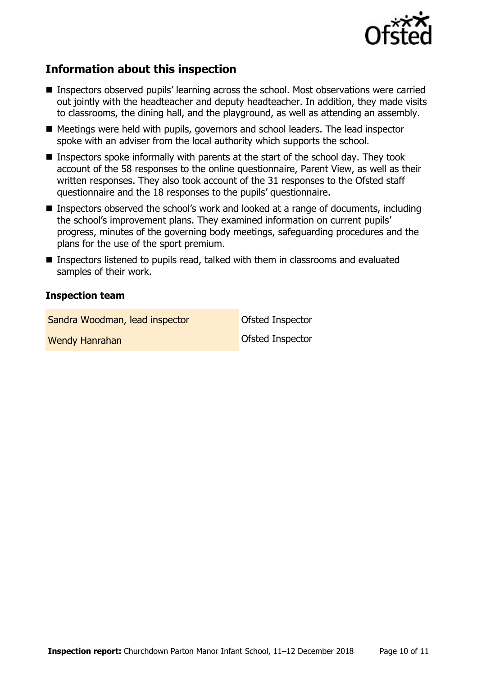

# **Information about this inspection**

- Inspectors observed pupils' learning across the school. Most observations were carried out jointly with the headteacher and deputy headteacher. In addition, they made visits to classrooms, the dining hall, and the playground, as well as attending an assembly.
- Meetings were held with pupils, governors and school leaders. The lead inspector spoke with an adviser from the local authority which supports the school.
- Inspectors spoke informally with parents at the start of the school day. They took account of the 58 responses to the online questionnaire, Parent View, as well as their written responses. They also took account of the 31 responses to the Ofsted staff questionnaire and the 18 responses to the pupils' questionnaire.
- Inspectors observed the school's work and looked at a range of documents, including the school's improvement plans. They examined information on current pupils' progress, minutes of the governing body meetings, safeguarding procedures and the plans for the use of the sport premium.
- Inspectors listened to pupils read, talked with them in classrooms and evaluated samples of their work.

#### **Inspection team**

Sandra Woodman, lead inspector **Canadia** Ofsted Inspector Wendy Hanrahan **Ofsted Inspector**